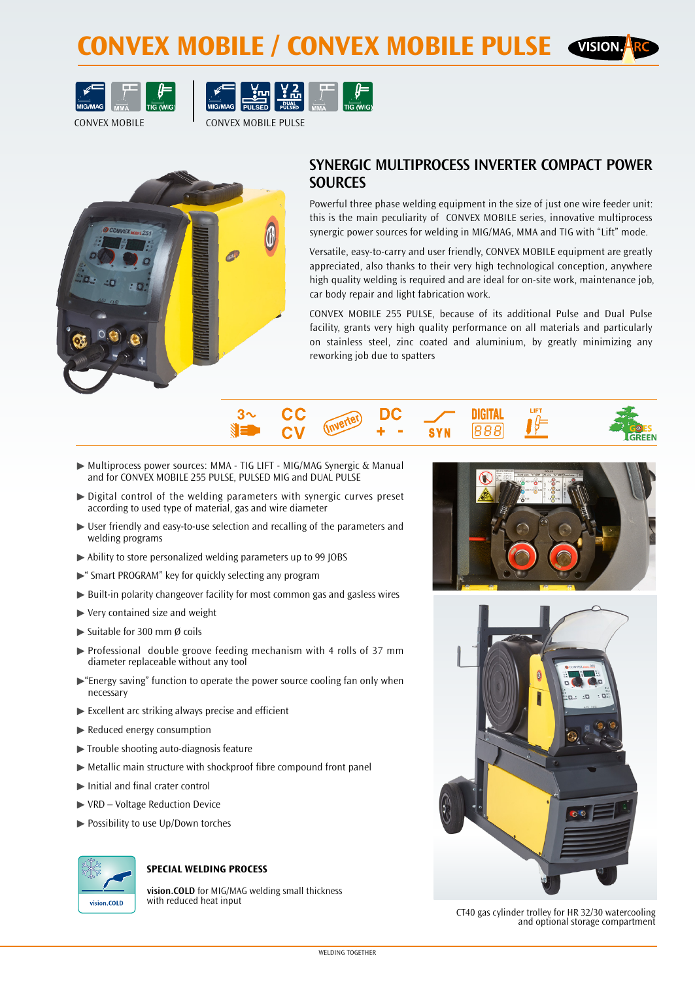# **CONVEX MOBILE / CONVEX MOBILE PULSE**





CONVEX MOBILE CONVEX MOBILE PULSE



## **SYNERGIC MULTIPROCESS INVERTER COMPACT POWER SOURCES**

Powerful three phase welding equipment in the size of just one wire feeder unit: this is the main peculiarity of CONVEX MOBILE series, innovative multiprocess synergic power sources for welding in MIG/MAG, MMA and TIG with "Lift" mode.

Versatile, easy-to-carry and user friendly, CONVEX MOBILE equipment are greatly appreciated, also thanks to their very high technological conception, anywhere high quality welding is required and are ideal for on-site work, maintenance job, car body repair and light fabrication work.

CONVEX MOBILE 255 PULSE, because of its additional Pulse and Dual Pulse facility, grants very high quality performance on all materials and particularly on stainless steel, zinc coated and aluminium, by greatly minimizing any reworking job due to spatters



- ▶ Multiprocess power sources: MMA TIG LIFT MIG/MAG Synergic & Manual and for CONVEX MOBILE 255 PULSE, PULSED MIG and DUAL PULSE
- ½½ Digital control of the welding parameters with synergic curves preset according to used type of material, gas and wire diameter
- $\triangleright$  User friendly and easy-to-use selection and recalling of the parameters and welding programs
- ▶ Ability to store personalized welding parameters up to 99 JOBS
- $\blacktriangleright$ " Smart PROGRAM" key for quickly selecting any program
- ▶ Built-in polarity changeover facility for most common gas and gasless wires
- $\blacktriangleright$  Very contained size and weight
- $\blacktriangleright$  Suitable for 300 mm Ø coils
- $\triangleright$  Professional double groove feeding mechanism with 4 rolls of 37 mm diameter replaceable without any tool
- $\blacktriangleright$  "Energy saving" function to operate the power source cooling fan only when necessary
- $\blacktriangleright$  Excellent arc striking always precise and efficient
- ▶ Reduced energy consumption
- $\blacktriangleright$  Trouble shooting auto-diagnosis feature
- $\blacktriangleright$  Metallic main structure with shockproof fibre compound front panel
- $\blacktriangleright$  Initial and final crater control
- ▶ VRD Voltage Reduction Device
- ▶ Possibility to use Up/Down torches



### **SPECIAL WELDING PROCESS**

**vision.COLD** for MIG/MAG welding small thickness with reduced heat input





CT40 gas cylinder trolley for HR 32/30 watercooling and optional storage compartment